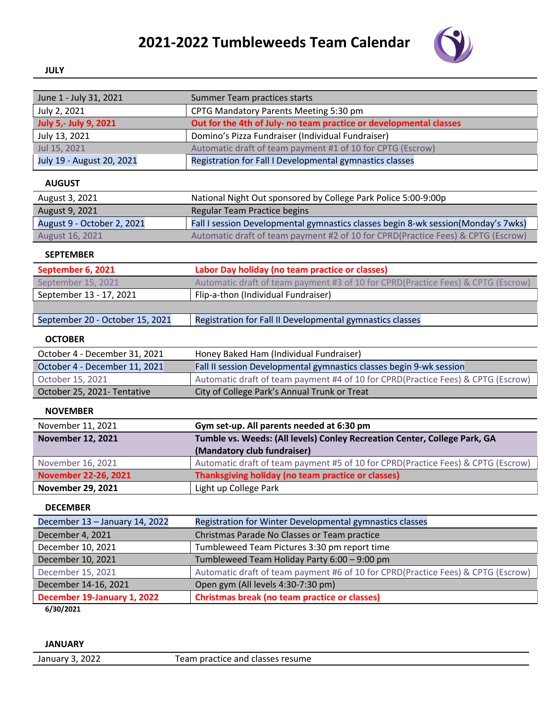## **2021-2022 Tumbleweeds Team Calendar**



## **JULY**

| June 1 - July 31, 2021          | Summer Team practices starts                                                      |
|---------------------------------|-----------------------------------------------------------------------------------|
| July 2, 2021                    | CPTG Mandatory Parents Meeting 5:30 pm                                            |
| July 5,- July 9, 2021           | Out for the 4th of July- no team practice or developmental classes                |
| July 13, 2021                   | Domino's Pizza Fundraiser (Individual Fundraiser)                                 |
| Jul 15, 2021                    | Automatic draft of team payment #1 of 10 for CPTG (Escrow)                        |
| July 19 - August 20, 2021       | Registration for Fall I Developmental gymnastics classes                          |
| <b>AUGUST</b>                   |                                                                                   |
| August 3, 2021                  | National Night Out sponsored by College Park Police 5:00-9:00p                    |
| August 9, 2021                  | Regular Team Practice begins                                                      |
| August 9 - October 2, 2021      | Fall I session Developmental gymnastics classes begin 8-wk session(Monday's 7wks) |
| August 16, 2021                 | Automatic draft of team payment #2 of 10 for CPRD(Practice Fees) & CPTG (Escrow)  |
| <b>SEPTEMBER</b>                |                                                                                   |
| September 6, 2021               | Labor Day holiday (no team practice or classes)                                   |
| September 15, 2021              | Automatic draft of team payment #3 of 10 for CPRD(Practice Fees) & CPTG (Escrow)  |
| September 13 - 17, 2021         | Flip-a-thon (Individual Fundraiser)                                               |
|                                 |                                                                                   |
| September 20 - October 15, 2021 | Registration for Fall II Developmental gymnastics classes                         |
| <b>OCTOBER</b>                  |                                                                                   |
| October 4 - December 31, 2021   | Honey Baked Ham (Individual Fundraiser)                                           |
| October 4 - December 11, 2021   | Fall II session Developmental gymnastics classes begin 9-wk session               |
| October 15, 2021                | Automatic draft of team payment #4 of 10 for CPRD(Practice Fees) & CPTG (Escrow)  |
| October 25, 2021- Tentative     | City of College Park's Annual Trunk or Treat                                      |
| <b>NOVEMBER</b>                 |                                                                                   |
| November 11, 2021               | Gym set-up. All parents needed at 6:30 pm                                         |
| <b>November 12, 2021</b>        | Tumble vs. Weeds: (All levels) Conley Recreation Center, College Park, GA         |
|                                 | (Mandatory club fundraiser)                                                       |
| November 16, 2021               | Automatic draft of team payment #5 of 10 for CPRD(Practice Fees) & CPTG (Escrow)  |
| <b>November 22-26, 2021</b>     | Thanksgiving holiday (no team practice or classes)                                |
| <b>November 29, 2021</b>        | Light up College Park                                                             |
| <b>DECEMBER</b>                 |                                                                                   |
| December 13 - January 14, 2022  | Registration for Winter Developmental gymnastics classes                          |
| December 4, 2021                | Christmas Parade No Classes or Team practice                                      |
| December 10, 2021               | Tumbleweed Team Pictures 3:30 pm report time                                      |
| December 10, 2021               | Tumbleweed Team Holiday Party 6:00 - 9:00 pm                                      |
| December 15, 2021               | Automatic draft of team payment #6 of 10 for CPRD(Practice Fees) & CPTG (Escrow)  |
| December 14-16, 2021            | Open gym (All levels 4:30-7:30 pm)                                                |
| December 19-January 1, 2022     | <b>Christmas break (no team practice or classes)</b>                              |
| 6/30/2021                       |                                                                                   |
|                                 |                                                                                   |

**JANUARY**